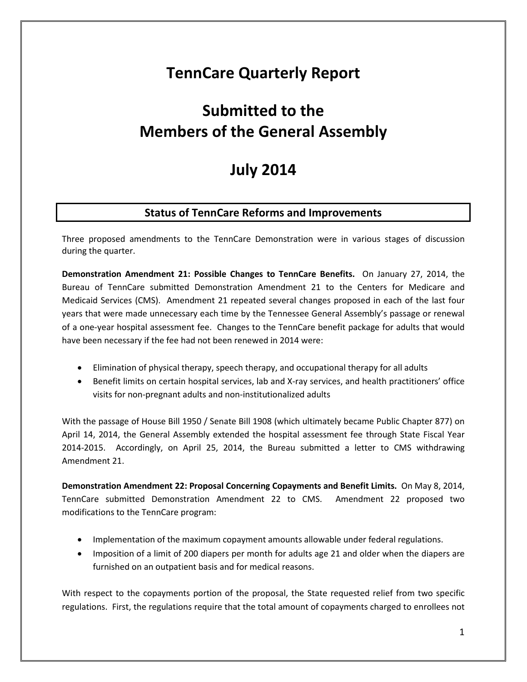## **TennCare Quarterly Report**

# **Submitted to the Members of the General Assembly**

## **July 2014**

## **Status of TennCare Reforms and Improvements**

Three proposed amendments to the TennCare Demonstration were in various stages of discussion during the quarter.

**Demonstration Amendment 21: Possible Changes to TennCare Benefits.** On January 27, 2014, the Bureau of TennCare submitted Demonstration Amendment 21 to the Centers for Medicare and Medicaid Services (CMS). Amendment 21 repeated several changes proposed in each of the last four years that were made unnecessary each time by the Tennessee General Assembly's passage or renewal of a one-year hospital assessment fee. Changes to the TennCare benefit package for adults that would have been necessary if the fee had not been renewed in 2014 were:

- Elimination of physical therapy, speech therapy, and occupational therapy for all adults
- Benefit limits on certain hospital services, lab and X-ray services, and health practitioners' office visits for non-pregnant adults and non-institutionalized adults

With the passage of House Bill 1950 / Senate Bill 1908 (which ultimately became Public Chapter 877) on April 14, 2014, the General Assembly extended the hospital assessment fee through State Fiscal Year 2014-2015. Accordingly, on April 25, 2014, the Bureau submitted a letter to CMS withdrawing Amendment 21.

**Demonstration Amendment 22: Proposal Concerning Copayments and Benefit Limits.** On May 8, 2014, TennCare submitted Demonstration Amendment 22 to CMS. Amendment 22 proposed two modifications to the TennCare program:

- Implementation of the maximum copayment amounts allowable under federal regulations.
- Imposition of a limit of 200 diapers per month for adults age 21 and older when the diapers are furnished on an outpatient basis and for medical reasons.

With respect to the copayments portion of the proposal, the State requested relief from two specific regulations. First, the regulations require that the total amount of copayments charged to enrollees not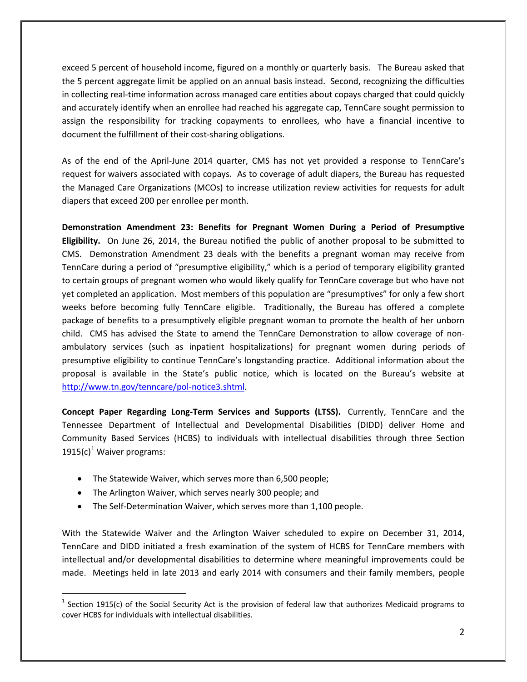exceed 5 percent of household income, figured on a monthly or quarterly basis. The Bureau asked that the 5 percent aggregate limit be applied on an annual basis instead. Second, recognizing the difficulties in collecting real-time information across managed care entities about copays charged that could quickly and accurately identify when an enrollee had reached his aggregate cap, TennCare sought permission to assign the responsibility for tracking copayments to enrollees, who have a financial incentive to document the fulfillment of their cost-sharing obligations.

As of the end of the April-June 2014 quarter, CMS has not yet provided a response to TennCare's request for waivers associated with copays. As to coverage of adult diapers, the Bureau has requested the Managed Care Organizations (MCOs) to increase utilization review activities for requests for adult diapers that exceed 200 per enrollee per month.

**Demonstration Amendment 23: Benefits for Pregnant Women During a Period of Presumptive Eligibility.** On June 26, 2014, the Bureau notified the public of another proposal to be submitted to CMS. Demonstration Amendment 23 deals with the benefits a pregnant woman may receive from TennCare during a period of "presumptive eligibility," which is a period of temporary eligibility granted to certain groups of pregnant women who would likely qualify for TennCare coverage but who have not yet completed an application. Most members of this population are "presumptives" for only a few short weeks before becoming fully TennCare eligible. Traditionally, the Bureau has offered a complete package of benefits to a presumptively eligible pregnant woman to promote the health of her unborn child. CMS has advised the State to amend the TennCare Demonstration to allow coverage of nonambulatory services (such as inpatient hospitalizations) for pregnant women during periods of presumptive eligibility to continue TennCare's longstanding practice. Additional information about the proposal is available in the State's public notice, which is located on the Bureau's website at [http://www.tn.gov/tenncare/pol-notice3.shtml.](http://www.tn.gov/tenncare/pol-notice3.shtml)

**Concept Paper Regarding Long-Term Services and Supports (LTSS).** Currently, TennCare and the Tennessee Department of Intellectual and Developmental Disabilities (DIDD) deliver Home and Community Based Services (HCBS) to individuals with intellectual disabilities through three Section [1](#page-1-0)915(c)<sup>1</sup> Waiver programs:

- The Statewide Waiver, which serves more than 6,500 people;
- The Arlington Waiver, which serves nearly 300 people; and

 $\overline{a}$ 

• The Self-Determination Waiver, which serves more than 1,100 people.

With the Statewide Waiver and the Arlington Waiver scheduled to expire on December 31, 2014, TennCare and DIDD initiated a fresh examination of the system of HCBS for TennCare members with intellectual and/or developmental disabilities to determine where meaningful improvements could be made. Meetings held in late 2013 and early 2014 with consumers and their family members, people

<span id="page-1-0"></span> $1$  Section 1915(c) of the Social Security Act is the provision of federal law that authorizes Medicaid programs to cover HCBS for individuals with intellectual disabilities.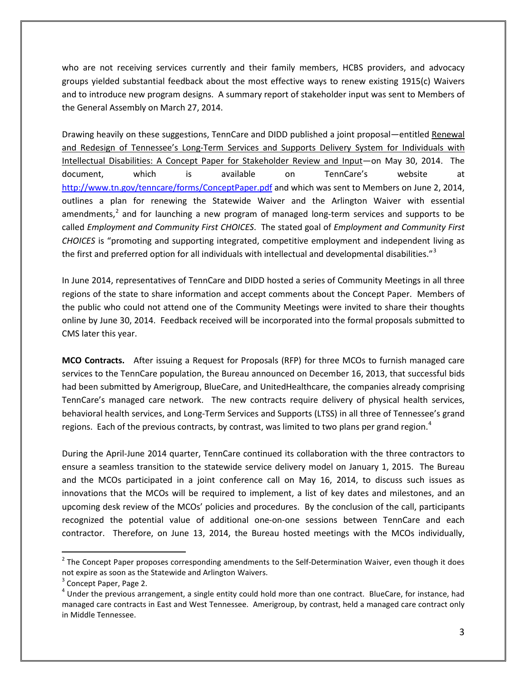who are not receiving services currently and their family members, HCBS providers, and advocacy groups yielded substantial feedback about the most effective ways to renew existing 1915(c) Waivers and to introduce new program designs. A summary report of stakeholder input was sent to Members of the General Assembly on March 27, 2014.

Drawing heavily on these suggestions, TennCare and DIDD published a joint proposal—entitled Renewal and Redesign of Tennessee's Long-Term Services and Supports Delivery System for Individuals with Intellectual Disabilities: A Concept Paper for Stakeholder Review and Input—on May 30, 2014. The document, which is available on TennCare's website at <http://www.tn.gov/tenncare/forms/ConceptPaper.pdf> and which was sent to Members on June 2, 2014, outlines a plan for renewing the Statewide Waiver and the Arlington Waiver with essential amendments, $<sup>2</sup>$  $<sup>2</sup>$  $<sup>2</sup>$  and for launching a new program of managed long-term services and supports to be</sup> called *Employment and Community First CHOICES*. The stated goal of *Employment and Community First CHOICES* is "promoting and supporting integrated, competitive employment and independent living as the first and preferred option for all individuals with intellectual and developmental disabilities."<sup>[3](#page-2-1)</sup>

In June 2014, representatives of TennCare and DIDD hosted a series of Community Meetings in all three regions of the state to share information and accept comments about the Concept Paper. Members of the public who could not attend one of the Community Meetings were invited to share their thoughts online by June 30, 2014. Feedback received will be incorporated into the formal proposals submitted to CMS later this year.

**MCO Contracts.** After issuing a Request for Proposals (RFP) for three MCOs to furnish managed care services to the TennCare population, the Bureau announced on December 16, 2013, that successful bids had been submitted by Amerigroup, BlueCare, and UnitedHealthcare, the companies already comprising TennCare's managed care network. The new contracts require delivery of physical health services, behavioral health services, and Long-Term Services and Supports (LTSS) in all three of Tennessee's grand regions. Each of the previous contracts, by contrast, was limited to two plans per grand region.<sup>[4](#page-2-2)</sup>

During the April-June 2014 quarter, TennCare continued its collaboration with the three contractors to ensure a seamless transition to the statewide service delivery model on January 1, 2015. The Bureau and the MCOs participated in a joint conference call on May 16, 2014, to discuss such issues as innovations that the MCOs will be required to implement, a list of key dates and milestones, and an upcoming desk review of the MCOs' policies and procedures. By the conclusion of the call, participants recognized the potential value of additional one-on-one sessions between TennCare and each contractor. Therefore, on June 13, 2014, the Bureau hosted meetings with the MCOs individually,

<span id="page-2-0"></span> $<sup>2</sup>$  The Concept Paper proposes corresponding amendments to the Self-Determination Waiver, even though it does</sup> not expire as soon as the Statewide and Arlington Waivers.

<span id="page-2-1"></span> $3$  Concept Paper, Page 2.

<span id="page-2-2"></span> $4$  Under the previous arrangement, a single entity could hold more than one contract. BlueCare, for instance, had managed care contracts in East and West Tennessee. Amerigroup, by contrast, held a managed care contract only in Middle Tennessee.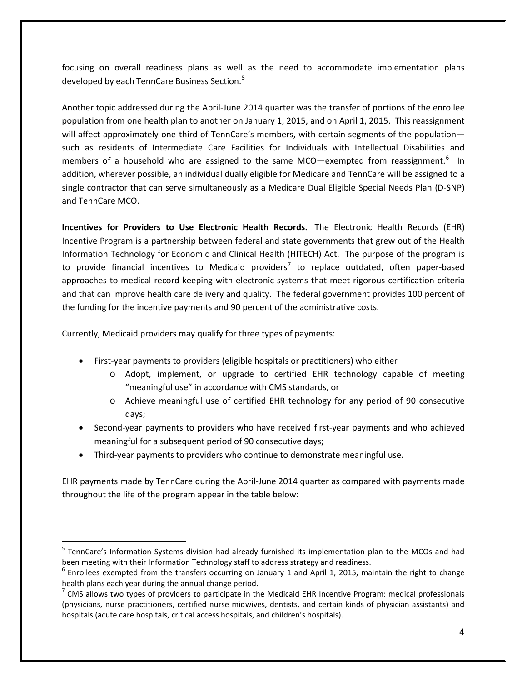focusing on overall readiness plans as well as the need to accommodate implementation plans developed by each TennCare Business Section.<sup>[5](#page-3-0)</sup>

Another topic addressed during the April-June 2014 quarter was the transfer of portions of the enrollee population from one health plan to another on January 1, 2015, and on April 1, 2015. This reassignment will affect approximately one-third of TennCare's members, with certain segments of the population such as residents of Intermediate Care Facilities for Individuals with Intellectual Disabilities and members of a household who are assigned to the same MCO—exempted from reassignment.<sup>[6](#page-3-1)</sup> In addition, wherever possible, an individual dually eligible for Medicare and TennCare will be assigned to a single contractor that can serve simultaneously as a Medicare Dual Eligible Special Needs Plan (D-SNP) and TennCare MCO.

**Incentives for Providers to Use Electronic Health Records.** The Electronic Health Records (EHR) Incentive Program is a partnership between federal and state governments that grew out of the Health Information Technology for Economic and Clinical Health (HITECH) Act. The purpose of the program is to provide financial incentives to Medicaid providers<sup>[7](#page-3-2)</sup> to replace outdated, often paper-based approaches to medical record-keeping with electronic systems that meet rigorous certification criteria and that can improve health care delivery and quality. The federal government provides 100 percent of the funding for the incentive payments and 90 percent of the administrative costs.

Currently, Medicaid providers may qualify for three types of payments:

 $\overline{a}$ 

- First-year payments to providers (eligible hospitals or practitioners) who either
	- o Adopt, implement, or upgrade to certified EHR technology capable of meeting "meaningful use" in accordance with CMS standards, or
	- o Achieve meaningful use of certified EHR technology for any period of 90 consecutive days;
- Second-year payments to providers who have received first-year payments and who achieved meaningful for a subsequent period of 90 consecutive days;
- Third-year payments to providers who continue to demonstrate meaningful use.

EHR payments made by TennCare during the April-June 2014 quarter as compared with payments made throughout the life of the program appear in the table below:

<span id="page-3-0"></span><sup>&</sup>lt;sup>5</sup> TennCare's Information Systems division had already furnished its implementation plan to the MCOs and had been meeting with their Information Technology staff to address strategy and readiness.

<span id="page-3-1"></span> $6$  Enrollees exempted from the transfers occurring on January 1 and April 1, 2015, maintain the right to change health plans each year during the annual change period.<br><sup>7</sup> CMS allows two types of providers to participate in the Medicaid EHR Incentive Program: medical professionals

<span id="page-3-2"></span><sup>(</sup>physicians, nurse practitioners, certified nurse midwives, dentists, and certain kinds of physician assistants) and hospitals (acute care hospitals, critical access hospitals, and children's hospitals).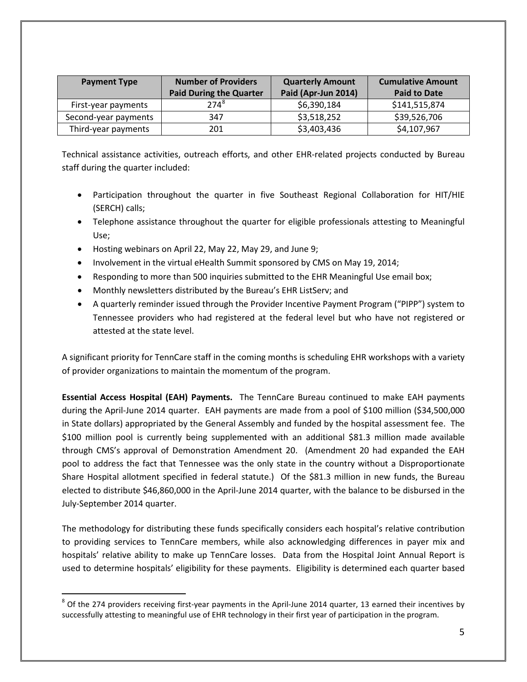| <b>Payment Type</b>  | <b>Number of Providers</b><br><b>Paid During the Quarter</b> | <b>Quarterly Amount</b><br>Paid (Apr-Jun 2014) | <b>Cumulative Amount</b><br><b>Paid to Date</b> |
|----------------------|--------------------------------------------------------------|------------------------------------------------|-------------------------------------------------|
| First-year payments  | $274^{8}$                                                    | \$6,390,184                                    | \$141,515,874                                   |
| Second-year payments | 347                                                          | \$3,518,252                                    | \$39,526,706                                    |
| Third-year payments  | 201                                                          | \$3,403,436                                    | \$4,107,967                                     |

Technical assistance activities, outreach efforts, and other EHR-related projects conducted by Bureau staff during the quarter included:

- Participation throughout the quarter in five Southeast Regional Collaboration for HIT/HIE (SERCH) calls;
- Telephone assistance throughout the quarter for eligible professionals attesting to Meaningful Use;
- Hosting webinars on April 22, May 22, May 29, and June 9;
- Involvement in the virtual eHealth Summit sponsored by CMS on May 19, 2014;
- Responding to more than 500 inquiries submitted to the EHR Meaningful Use email box;
- Monthly newsletters distributed by the Bureau's EHR ListServ; and
- A quarterly reminder issued through the Provider Incentive Payment Program ("PIPP") system to Tennessee providers who had registered at the federal level but who have not registered or attested at the state level.

A significant priority for TennCare staff in the coming months is scheduling EHR workshops with a variety of provider organizations to maintain the momentum of the program.

**Essential Access Hospital (EAH) Payments.** The TennCare Bureau continued to make EAH payments during the April-June 2014 quarter. EAH payments are made from a pool of \$100 million (\$34,500,000 in State dollars) appropriated by the General Assembly and funded by the hospital assessment fee. The \$100 million pool is currently being supplemented with an additional \$81.3 million made available through CMS's approval of Demonstration Amendment 20. (Amendment 20 had expanded the EAH pool to address the fact that Tennessee was the only state in the country without a Disproportionate Share Hospital allotment specified in federal statute.) Of the \$81.3 million in new funds, the Bureau elected to distribute \$46,860,000 in the April-June 2014 quarter, with the balance to be disbursed in the July-September 2014 quarter.

The methodology for distributing these funds specifically considers each hospital's relative contribution to providing services to TennCare members, while also acknowledging differences in payer mix and hospitals' relative ability to make up TennCare losses. Data from the Hospital Joint Annual Report is used to determine hospitals' eligibility for these payments. Eligibility is determined each quarter based

<span id="page-4-0"></span> $8$  Of the 274 providers receiving first-year payments in the April-June 2014 quarter, 13 earned their incentives by successfully attesting to meaningful use of EHR technology in their first year of participation in the program.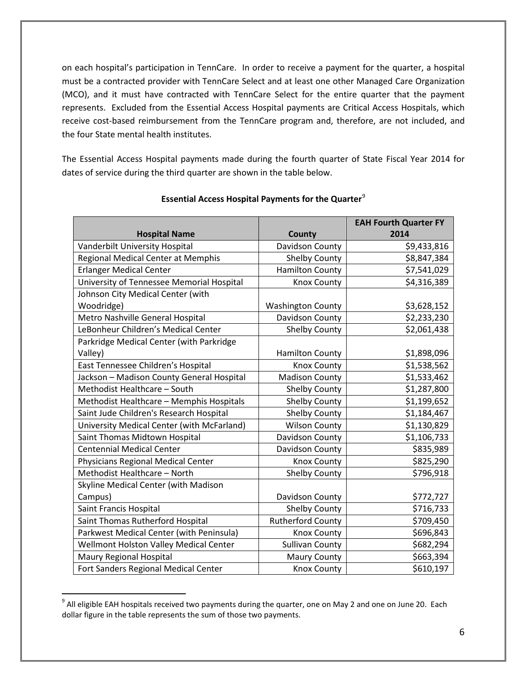on each hospital's participation in TennCare. In order to receive a payment for the quarter, a hospital must be a contracted provider with TennCare Select and at least one other Managed Care Organization (MCO), and it must have contracted with TennCare Select for the entire quarter that the payment represents. Excluded from the Essential Access Hospital payments are Critical Access Hospitals, which receive cost-based reimbursement from the TennCare program and, therefore, are not included, and the four State mental health institutes.

The Essential Access Hospital payments made during the fourth quarter of State Fiscal Year 2014 for dates of service during the third quarter are shown in the table below.

|                                            |                          | <b>EAH Fourth Quarter FY</b> |
|--------------------------------------------|--------------------------|------------------------------|
| <b>Hospital Name</b>                       | County                   | 2014                         |
| Vanderbilt University Hospital             | Davidson County          | \$9,433,816                  |
| Regional Medical Center at Memphis         | <b>Shelby County</b>     | \$8,847,384                  |
| <b>Erlanger Medical Center</b>             | <b>Hamilton County</b>   | \$7,541,029                  |
| University of Tennessee Memorial Hospital  | <b>Knox County</b>       | \$4,316,389                  |
| Johnson City Medical Center (with          |                          |                              |
| Woodridge)                                 | <b>Washington County</b> | \$3,628,152                  |
| Metro Nashville General Hospital           | Davidson County          | \$2,233,230                  |
| LeBonheur Children's Medical Center        | <b>Shelby County</b>     | \$2,061,438                  |
| Parkridge Medical Center (with Parkridge   |                          |                              |
| Valley)                                    | <b>Hamilton County</b>   | \$1,898,096                  |
| East Tennessee Children's Hospital         | <b>Knox County</b>       | \$1,538,562                  |
| Jackson - Madison County General Hospital  | <b>Madison County</b>    | \$1,533,462                  |
| Methodist Healthcare - South               | Shelby County            | \$1,287,800                  |
| Methodist Healthcare - Memphis Hospitals   | <b>Shelby County</b>     | \$1,199,652                  |
| Saint Jude Children's Research Hospital    | Shelby County            | \$1,184,467                  |
| University Medical Center (with McFarland) | <b>Wilson County</b>     | \$1,130,829                  |
| Saint Thomas Midtown Hospital              | Davidson County          | \$1,106,733                  |
| <b>Centennial Medical Center</b>           | Davidson County          | \$835,989                    |
| Physicians Regional Medical Center         | <b>Knox County</b>       | \$825,290                    |
| Methodist Healthcare - North               | <b>Shelby County</b>     | \$796,918                    |
| Skyline Medical Center (with Madison       |                          |                              |
| Campus)                                    | Davidson County          | \$772,727                    |
| Saint Francis Hospital                     | <b>Shelby County</b>     | \$716,733                    |
| Saint Thomas Rutherford Hospital           | <b>Rutherford County</b> | \$709,450                    |
| Parkwest Medical Center (with Peninsula)   | <b>Knox County</b>       | \$696,843                    |
| Wellmont Holston Valley Medical Center     | <b>Sullivan County</b>   | \$682,294                    |
| Maury Regional Hospital                    | <b>Maury County</b>      | \$663,394                    |
| Fort Sanders Regional Medical Center       | <b>Knox County</b>       | \$610,197                    |

### **Essential Access Hospital Payments for the Quarter**[9](#page-5-0)

<span id="page-5-0"></span><sup>&</sup>lt;sup>9</sup> All eligible EAH hospitals received two payments during the quarter, one on May 2 and one on June 20. Each dollar figure in the table represents the sum of those two payments.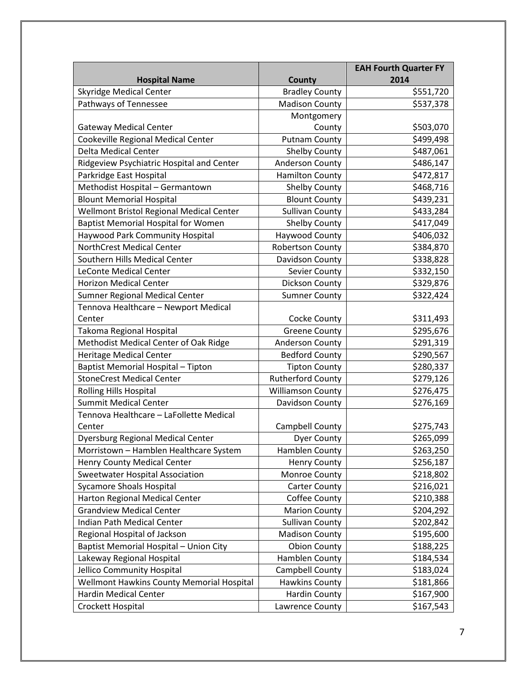|                                            |                          | <b>EAH Fourth Quarter FY</b> |
|--------------------------------------------|--------------------------|------------------------------|
| <b>Hospital Name</b>                       | County                   | 2014                         |
| <b>Skyridge Medical Center</b>             | <b>Bradley County</b>    | \$551,720                    |
| Pathways of Tennessee                      | <b>Madison County</b>    | \$537,378                    |
|                                            | Montgomery               |                              |
| <b>Gateway Medical Center</b>              | County                   | \$503,070                    |
| Cookeville Regional Medical Center         | <b>Putnam County</b>     | \$499,498                    |
| <b>Delta Medical Center</b>                | <b>Shelby County</b>     | \$487,061                    |
| Ridgeview Psychiatric Hospital and Center  | <b>Anderson County</b>   | \$486,147                    |
| Parkridge East Hospital                    | <b>Hamilton County</b>   | \$472,817                    |
| Methodist Hospital - Germantown            | <b>Shelby County</b>     | \$468,716                    |
| <b>Blount Memorial Hospital</b>            | <b>Blount County</b>     | \$439,231                    |
| Wellmont Bristol Regional Medical Center   | <b>Sullivan County</b>   | \$433,284                    |
| <b>Baptist Memorial Hospital for Women</b> | Shelby County            | \$417,049                    |
| <b>Haywood Park Community Hospital</b>     | Haywood County           | \$406,032                    |
| NorthCrest Medical Center                  | <b>Robertson County</b>  | \$384,870                    |
| Southern Hills Medical Center              | Davidson County          | \$338,828                    |
| <b>LeConte Medical Center</b>              | Sevier County            | \$332,150                    |
| <b>Horizon Medical Center</b>              | Dickson County           | \$329,876                    |
| Sumner Regional Medical Center             | <b>Sumner County</b>     | \$322,424                    |
| Tennova Healthcare - Newport Medical       |                          |                              |
| Center                                     | Cocke County             | \$311,493                    |
| Takoma Regional Hospital                   | <b>Greene County</b>     | \$295,676                    |
| Methodist Medical Center of Oak Ridge      | <b>Anderson County</b>   | \$291,319                    |
| Heritage Medical Center                    | <b>Bedford County</b>    | \$290,567                    |
| Baptist Memorial Hospital - Tipton         | <b>Tipton County</b>     | \$280,337                    |
| <b>StoneCrest Medical Center</b>           | <b>Rutherford County</b> | \$279,126                    |
| <b>Rolling Hills Hospital</b>              | <b>Williamson County</b> | \$276,475                    |
| <b>Summit Medical Center</b>               | Davidson County          | \$276,169                    |
| Tennova Healthcare - LaFollette Medical    |                          |                              |
| Center                                     | Campbell County          | \$275,743                    |
| <b>Dyersburg Regional Medical Center</b>   | <b>Dyer County</b>       | \$265,099                    |
| Morristown - Hamblen Healthcare System     | Hamblen County           | \$263,250                    |
| <b>Henry County Medical Center</b>         | <b>Henry County</b>      | \$256,187                    |
| Sweetwater Hospital Association            | Monroe County            | \$218,802                    |
| <b>Sycamore Shoals Hospital</b>            | <b>Carter County</b>     | \$216,021                    |
| Harton Regional Medical Center             | Coffee County            | \$210,388                    |
| <b>Grandview Medical Center</b>            | <b>Marion County</b>     | \$204,292                    |
| Indian Path Medical Center                 | <b>Sullivan County</b>   | \$202,842                    |
| Regional Hospital of Jackson               | <b>Madison County</b>    | \$195,600                    |
| Baptist Memorial Hospital - Union City     | <b>Obion County</b>      | \$188,225                    |
| Lakeway Regional Hospital                  | Hamblen County           | \$184,534                    |
| Jellico Community Hospital                 | Campbell County          | \$183,024                    |
| Wellmont Hawkins County Memorial Hospital  | <b>Hawkins County</b>    | \$181,866                    |
| <b>Hardin Medical Center</b>               | <b>Hardin County</b>     | \$167,900                    |
| Crockett Hospital                          | Lawrence County          | \$167,543                    |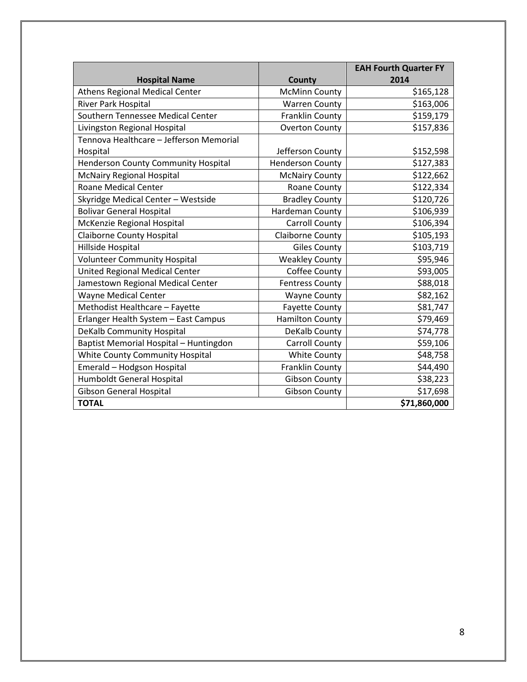|                                         |                         | <b>EAH Fourth Quarter FY</b> |
|-----------------------------------------|-------------------------|------------------------------|
| <b>Hospital Name</b>                    | County                  | 2014                         |
| Athens Regional Medical Center          | <b>McMinn County</b>    | \$165,128                    |
| River Park Hospital                     | <b>Warren County</b>    | \$163,006                    |
| Southern Tennessee Medical Center       | Franklin County         | \$159,179                    |
| Livingston Regional Hospital            | <b>Overton County</b>   | \$157,836                    |
| Tennova Healthcare - Jefferson Memorial |                         |                              |
| Hospital                                | Jefferson County        | \$152,598                    |
| Henderson County Community Hospital     | <b>Henderson County</b> | \$127,383                    |
| <b>McNairy Regional Hospital</b>        | <b>McNairy County</b>   | \$122,662                    |
| <b>Roane Medical Center</b>             | Roane County            | \$122,334                    |
| Skyridge Medical Center - Westside      | <b>Bradley County</b>   | \$120,726                    |
| <b>Bolivar General Hospital</b>         | Hardeman County         | \$106,939                    |
| McKenzie Regional Hospital              | <b>Carroll County</b>   | \$106,394                    |
| <b>Claiborne County Hospital</b>        | Claiborne County        | \$105,193                    |
| Hillside Hospital                       | <b>Giles County</b>     | \$103,719                    |
| <b>Volunteer Community Hospital</b>     | <b>Weakley County</b>   | \$95,946                     |
| <b>United Regional Medical Center</b>   | Coffee County           | \$93,005                     |
| Jamestown Regional Medical Center       | <b>Fentress County</b>  | \$88,018                     |
| Wayne Medical Center                    | <b>Wayne County</b>     | \$82,162                     |
| Methodist Healthcare - Fayette          | <b>Fayette County</b>   | \$81,747                     |
| Erlanger Health System - East Campus    | <b>Hamilton County</b>  | \$79,469                     |
| DeKalb Community Hospital               | DeKalb County           | \$74,778                     |
| Baptist Memorial Hospital - Huntingdon  | <b>Carroll County</b>   | \$59,106                     |
| White County Community Hospital         | <b>White County</b>     | \$48,758                     |
| Emerald - Hodgson Hospital              | Franklin County         | \$44,490                     |
| <b>Humboldt General Hospital</b>        | <b>Gibson County</b>    | \$38,223                     |
| <b>Gibson General Hospital</b>          | <b>Gibson County</b>    | \$17,698                     |
| <b>TOTAL</b>                            |                         | \$71,860,000                 |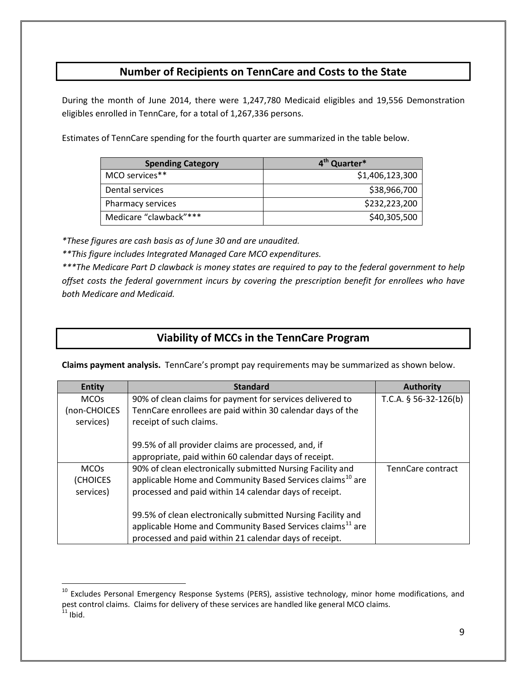## **Number of Recipients on TennCare and Costs to the State**

During the month of June 2014, there were 1,247,780 Medicaid eligibles and 19,556 Demonstration eligibles enrolled in TennCare, for a total of 1,267,336 persons.

Estimates of TennCare spending for the fourth quarter are summarized in the table below.

| <b>Spending Category</b> | 4 <sup>th</sup> Quarter* |
|--------------------------|--------------------------|
| MCO services**           | \$1,406,123,300          |
| Dental services          | \$38,966,700             |
| Pharmacy services        | \$232,223,200            |
| Medicare "clawback"***   | \$40,305,500             |

*\*These figures are cash basis as of June 30 and are unaudited.*

 $\overline{a}$ 

*\*\*This figure includes Integrated Managed Care MCO expenditures.*

*\*\*\*The Medicare Part D clawback is money states are required to pay to the federal government to help offset costs the federal government incurs by covering the prescription benefit for enrollees who have both Medicare and Medicaid.*

## **Viability of MCCs in the TennCare Program**

**Claims payment analysis.** TennCare's prompt pay requirements may be summarized as shown below.

| <b>Entity</b>          | <b>Standard</b>                                                       | <b>Authority</b>        |
|------------------------|-----------------------------------------------------------------------|-------------------------|
| <b>MCO<sub>S</sub></b> | 90% of clean claims for payment for services delivered to             | T.C.A. $§$ 56-32-126(b) |
| (non-CHOICES           | TennCare enrollees are paid within 30 calendar days of the            |                         |
| services)              | receipt of such claims.                                               |                         |
|                        |                                                                       |                         |
|                        | 99.5% of all provider claims are processed, and, if                   |                         |
|                        | appropriate, paid within 60 calendar days of receipt.                 |                         |
| <b>MCOs</b>            | 90% of clean electronically submitted Nursing Facility and            | TennCare contract       |
| (CHOICES               | applicable Home and Community Based Services claims <sup>10</sup> are |                         |
| services)              | processed and paid within 14 calendar days of receipt.                |                         |
|                        |                                                                       |                         |
|                        | 99.5% of clean electronically submitted Nursing Facility and          |                         |
|                        | applicable Home and Community Based Services claims <sup>11</sup> are |                         |
|                        | processed and paid within 21 calendar days of receipt.                |                         |

<span id="page-8-1"></span><span id="page-8-0"></span><sup>&</sup>lt;sup>10</sup> Excludes Personal Emergency Response Systems (PERS), assistive technology, minor home modifications, and pest control claims. Claims for delivery of these services are handled like general MCO claims.  $11$  Ibid.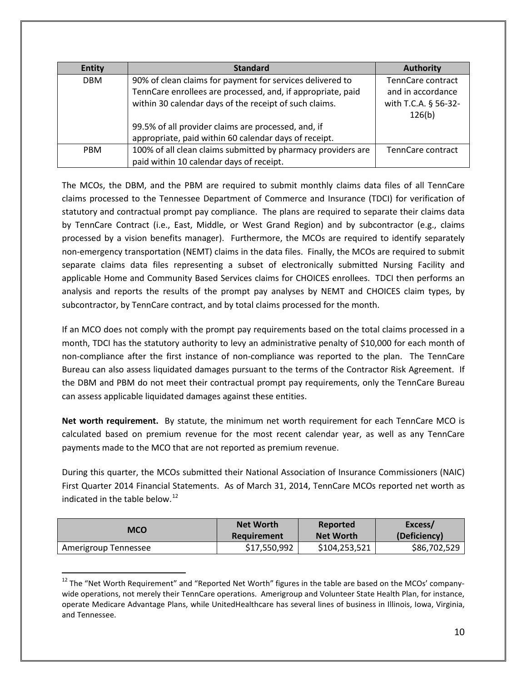| <b>Entity</b> | <b>Standard</b>                                              | <b>Authority</b>     |
|---------------|--------------------------------------------------------------|----------------------|
| <b>DBM</b>    | 90% of clean claims for payment for services delivered to    | TennCare contract    |
|               | TennCare enrollees are processed, and, if appropriate, paid  | and in accordance    |
|               | within 30 calendar days of the receipt of such claims.       | with T.C.A. § 56-32- |
|               |                                                              | 126(b)               |
|               | 99.5% of all provider claims are processed, and, if          |                      |
|               | appropriate, paid within 60 calendar days of receipt.        |                      |
| <b>PBM</b>    | 100% of all clean claims submitted by pharmacy providers are | TennCare contract    |
|               | paid within 10 calendar days of receipt.                     |                      |

The MCOs, the DBM, and the PBM are required to submit monthly claims data files of all TennCare claims processed to the Tennessee Department of Commerce and Insurance (TDCI) for verification of statutory and contractual prompt pay compliance. The plans are required to separate their claims data by TennCare Contract (i.e., East, Middle, or West Grand Region) and by subcontractor (e.g., claims processed by a vision benefits manager). Furthermore, the MCOs are required to identify separately non-emergency transportation (NEMT) claims in the data files. Finally, the MCOs are required to submit separate claims data files representing a subset of electronically submitted Nursing Facility and applicable Home and Community Based Services claims for CHOICES enrollees. TDCI then performs an analysis and reports the results of the prompt pay analyses by NEMT and CHOICES claim types, by subcontractor, by TennCare contract, and by total claims processed for the month.

If an MCO does not comply with the prompt pay requirements based on the total claims processed in a month, TDCI has the statutory authority to levy an administrative penalty of \$10,000 for each month of non-compliance after the first instance of non-compliance was reported to the plan. The TennCare Bureau can also assess liquidated damages pursuant to the terms of the Contractor Risk Agreement. If the DBM and PBM do not meet their contractual prompt pay requirements, only the TennCare Bureau can assess applicable liquidated damages against these entities.

**Net worth requirement.** By statute, the minimum net worth requirement for each TennCare MCO is calculated based on premium revenue for the most recent calendar year, as well as any TennCare payments made to the MCO that are not reported as premium revenue.

During this quarter, the MCOs submitted their National Association of Insurance Commissioners (NAIC) First Quarter 2014 Financial Statements. As of March 31, 2014, TennCare MCOs reported net worth as indicated in the table below. $12$ 

| MCO                  | <b>Net Worth</b> | Reported         | Excess/      |
|----------------------|------------------|------------------|--------------|
|                      | Requirement      | <b>Net Worth</b> | (Deficiency) |
| Amerigroup Tennessee | \$17,550,992     | \$104,253,521    | \$86,702,529 |

<span id="page-9-0"></span><sup>&</sup>lt;sup>12</sup> The "Net Worth Requirement" and "Reported Net Worth" figures in the table are based on the MCOs' companywide operations, not merely their TennCare operations. Amerigroup and Volunteer State Health Plan, for instance, operate Medicare Advantage Plans, while UnitedHealthcare has several lines of business in Illinois, Iowa, Virginia, and Tennessee.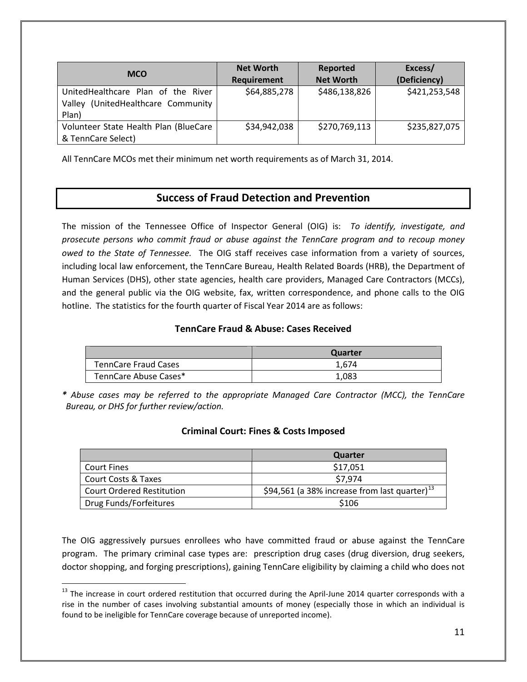| <b>MCO</b>                                                                           | <b>Net Worth</b><br>Requirement | Reported<br><b>Net Worth</b> | Excess/<br>(Deficiency) |
|--------------------------------------------------------------------------------------|---------------------------------|------------------------------|-------------------------|
| UnitedHealthcare Plan of the River<br>(UnitedHealthcare Community<br>Valley<br>Plan) | \$64,885,278                    | \$486,138,826                | \$421,253,548           |
| Volunteer State Health Plan (BlueCare<br>& TennCare Select)                          | \$34,942,038                    | \$270,769,113                | \$235,827,075           |

All TennCare MCOs met their minimum net worth requirements as of March 31, 2014.

## **Success of Fraud Detection and Prevention**

The mission of the Tennessee Office of Inspector General (OIG) is: *To identify, investigate, and prosecute persons who commit fraud or abuse against the TennCare program and to recoup money owed to the State of Tennessee.* The OIG staff receives case information from a variety of sources, including local law enforcement, the TennCare Bureau, Health Related Boards (HRB), the Department of Human Services (DHS), other state agencies, health care providers, Managed Care Contractors (MCCs), and the general public via the OIG website, fax, written correspondence, and phone calls to the OIG hotline. The statistics for the fourth quarter of Fiscal Year 2014 are as follows:

#### **TennCare Fraud & Abuse: Cases Received**

|                             | Quarter |
|-----------------------------|---------|
| <b>TennCare Fraud Cases</b> | 1.674   |
| TennCare Abuse Cases*       | 1,083   |

*\* Abuse cases may be referred to the appropriate Managed Care Contractor (MCC), the TennCare Bureau, or DHS for further review/action.*

### **Criminal Court: Fines & Costs Imposed**

|                                  | Quarter                                                   |
|----------------------------------|-----------------------------------------------------------|
| <b>Court Fines</b>               | \$17,051                                                  |
| <b>Court Costs &amp; Taxes</b>   | \$7.974                                                   |
| <b>Court Ordered Restitution</b> | \$94,561 (a 38% increase from last quarter) <sup>13</sup> |
| Drug Funds/Forfeitures           | \$106                                                     |

The OIG aggressively pursues enrollees who have committed fraud or abuse against the TennCare program. The primary criminal case types are: prescription drug cases (drug diversion, drug seekers, doctor shopping, and forging prescriptions), gaining TennCare eligibility by claiming a child who does not

<span id="page-10-0"></span> $13$  The increase in court ordered restitution that occurred during the April-June 2014 quarter corresponds with a rise in the number of cases involving substantial amounts of money (especially those in which an individual is found to be ineligible for TennCare coverage because of unreported income).